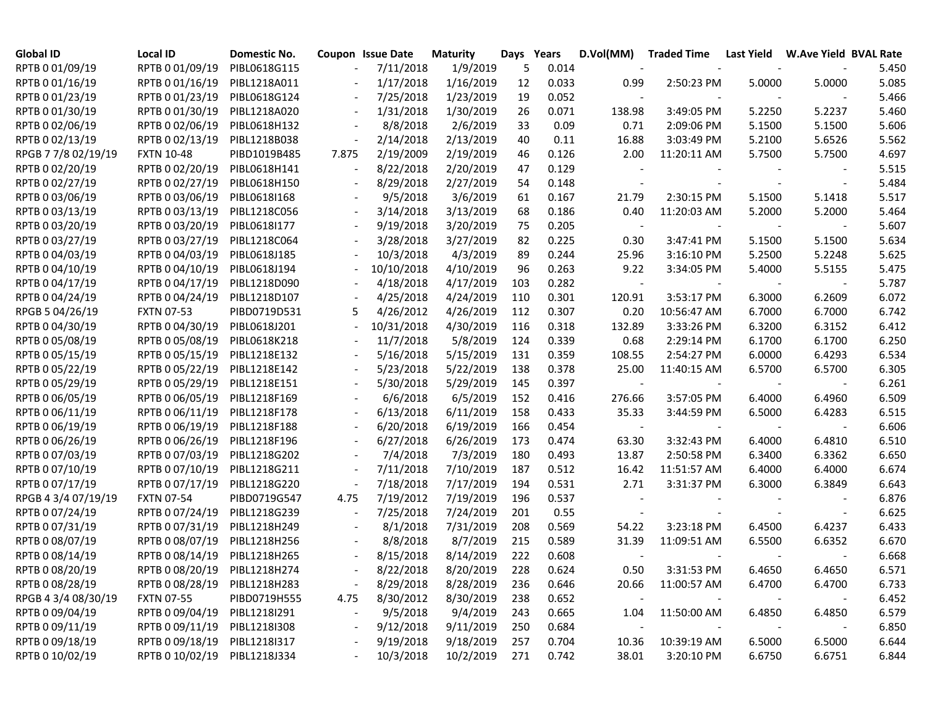| <b>Global ID</b>    | Local ID          | Domestic No. |                          | Coupon Issue Date | <b>Maturity</b> |     | Days Years | D.Vol(MM)                | <b>Traded Time</b> | Last Yield | <b>W.Ave Yield BVAL Rate</b> |       |
|---------------------|-------------------|--------------|--------------------------|-------------------|-----------------|-----|------------|--------------------------|--------------------|------------|------------------------------|-------|
| RPTB 0 01/09/19     | RPTB 0 01/09/19   | PIBL0618G115 |                          | 7/11/2018         | 1/9/2019        | 5   | 0.014      |                          |                    |            |                              | 5.450 |
| RPTB 0 01/16/19     | RPTB 0 01/16/19   | PIBL1218A011 |                          | 1/17/2018         | 1/16/2019       | 12  | 0.033      | 0.99                     | 2:50:23 PM         | 5.0000     | 5.0000                       | 5.085 |
| RPTB 0 01/23/19     | RPTB 0 01/23/19   | PIBL0618G124 |                          | 7/25/2018         | 1/23/2019       | 19  | 0.052      |                          |                    |            |                              | 5.466 |
| RPTB 0 01/30/19     | RPTB 0 01/30/19   | PIBL1218A020 |                          | 1/31/2018         | 1/30/2019       | 26  | 0.071      | 138.98                   | 3:49:05 PM         | 5.2250     | 5.2237                       | 5.460 |
| RPTB 0 02/06/19     | RPTB 0 02/06/19   | PIBL0618H132 |                          | 8/8/2018          | 2/6/2019        | 33  | 0.09       | 0.71                     | 2:09:06 PM         | 5.1500     | 5.1500                       | 5.606 |
| RPTB 0 02/13/19     | RPTB 0 02/13/19   | PIBL1218B038 | $\overline{\phantom{a}}$ | 2/14/2018         | 2/13/2019       | 40  | 0.11       | 16.88                    | 3:03:49 PM         | 5.2100     | 5.6526                       | 5.562 |
| RPGB 7 7/8 02/19/19 | <b>FXTN 10-48</b> | PIBD1019B485 | 7.875                    | 2/19/2009         | 2/19/2019       | 46  | 0.126      | 2.00                     | 11:20:11 AM        | 5.7500     | 5.7500                       | 4.697 |
| RPTB 0 02/20/19     | RPTB 0 02/20/19   | PIBL0618H141 | $\overline{\phantom{a}}$ | 8/22/2018         | 2/20/2019       | 47  | 0.129      |                          |                    |            |                              | 5.515 |
| RPTB 0 02/27/19     | RPTB 0 02/27/19   | PIBL0618H150 | $\overline{\phantom{a}}$ | 8/29/2018         | 2/27/2019       | 54  | 0.148      |                          |                    |            |                              | 5.484 |
| RPTB 0 03/06/19     | RPTB 0 03/06/19   | PIBL0618I168 | $\overline{\phantom{a}}$ | 9/5/2018          | 3/6/2019        | 61  | 0.167      | 21.79                    | 2:30:15 PM         | 5.1500     | 5.1418                       | 5.517 |
| RPTB 0 03/13/19     | RPTB 0 03/13/19   | PIBL1218C056 | $\overline{\phantom{a}}$ | 3/14/2018         | 3/13/2019       | 68  | 0.186      | 0.40                     | 11:20:03 AM        | 5.2000     | 5.2000                       | 5.464 |
| RPTB 0 03/20/19     | RPTB 0 03/20/19   | PIBL0618I177 |                          | 9/19/2018         | 3/20/2019       | 75  | 0.205      | $\overline{\phantom{a}}$ |                    |            |                              | 5.607 |
| RPTB 0 03/27/19     | RPTB 0 03/27/19   | PIBL1218C064 |                          | 3/28/2018         | 3/27/2019       | 82  | 0.225      | 0.30                     | 3:47:41 PM         | 5.1500     | 5.1500                       | 5.634 |
| RPTB 0 04/03/19     | RPTB 0 04/03/19   | PIBL0618J185 |                          | 10/3/2018         | 4/3/2019        | 89  | 0.244      | 25.96                    | 3:16:10 PM         | 5.2500     | 5.2248                       | 5.625 |
| RPTB 0 04/10/19     | RPTB 0 04/10/19   | PIBL0618J194 |                          | 10/10/2018        | 4/10/2019       | 96  | 0.263      | 9.22                     | 3:34:05 PM         | 5.4000     | 5.5155                       | 5.475 |
| RPTB 0 04/17/19     | RPTB 0 04/17/19   | PIBL1218D090 |                          | 4/18/2018         | 4/17/2019       | 103 | 0.282      | $\sim$                   |                    |            |                              | 5.787 |
| RPTB 0 04/24/19     | RPTB 0 04/24/19   | PIBL1218D107 |                          | 4/25/2018         | 4/24/2019       | 110 | 0.301      | 120.91                   | 3:53:17 PM         | 6.3000     | 6.2609                       | 6.072 |
| RPGB 5 04/26/19     | <b>FXTN 07-53</b> | PIBD0719D531 | 5                        | 4/26/2012         | 4/26/2019       | 112 | 0.307      | 0.20                     | 10:56:47 AM        | 6.7000     | 6.7000                       | 6.742 |
| RPTB 0 04/30/19     | RPTB 0 04/30/19   | PIBL0618J201 |                          | 10/31/2018        | 4/30/2019       | 116 | 0.318      | 132.89                   | 3:33:26 PM         | 6.3200     | 6.3152                       | 6.412 |
| RPTB 0 05/08/19     | RPTB 0 05/08/19   | PIBL0618K218 |                          | 11/7/2018         | 5/8/2019        | 124 | 0.339      | 0.68                     | 2:29:14 PM         | 6.1700     | 6.1700                       | 6.250 |
| RPTB 0 05/15/19     | RPTB 0 05/15/19   | PIBL1218E132 |                          | 5/16/2018         | 5/15/2019       | 131 | 0.359      | 108.55                   | 2:54:27 PM         | 6.0000     | 6.4293                       | 6.534 |
| RPTB 0 05/22/19     | RPTB 0 05/22/19   | PIBL1218E142 | $\overline{\phantom{a}}$ | 5/23/2018         | 5/22/2019       | 138 | 0.378      | 25.00                    | 11:40:15 AM        | 6.5700     | 6.5700                       | 6.305 |
| RPTB 0 05/29/19     | RPTB 0 05/29/19   | PIBL1218E151 |                          | 5/30/2018         | 5/29/2019       | 145 | 0.397      |                          |                    |            |                              | 6.261 |
| RPTB 0 06/05/19     | RPTB 0 06/05/19   | PIBL1218F169 |                          | 6/6/2018          | 6/5/2019        | 152 | 0.416      | 276.66                   | 3:57:05 PM         | 6.4000     | 6.4960                       | 6.509 |
| RPTB 0 06/11/19     | RPTB 0 06/11/19   | PIBL1218F178 |                          | 6/13/2018         | 6/11/2019       | 158 | 0.433      | 35.33                    | 3:44:59 PM         | 6.5000     | 6.4283                       | 6.515 |
| RPTB 0 06/19/19     | RPTB 0 06/19/19   | PIBL1218F188 |                          | 6/20/2018         | 6/19/2019       | 166 | 0.454      |                          |                    |            |                              | 6.606 |
| RPTB 0 06/26/19     | RPTB 0 06/26/19   | PIBL1218F196 |                          | 6/27/2018         | 6/26/2019       | 173 | 0.474      | 63.30                    | 3:32:43 PM         | 6.4000     | 6.4810                       | 6.510 |
| RPTB 0 07/03/19     | RPTB 0 07/03/19   | PIBL1218G202 |                          | 7/4/2018          | 7/3/2019        | 180 | 0.493      | 13.87                    | 2:50:58 PM         | 6.3400     | 6.3362                       | 6.650 |
| RPTB 0 07/10/19     | RPTB 0 07/10/19   | PIBL1218G211 |                          | 7/11/2018         | 7/10/2019       | 187 | 0.512      | 16.42                    | 11:51:57 AM        | 6.4000     | 6.4000                       | 6.674 |
| RPTB 0 07/17/19     | RPTB 0 07/17/19   | PIBL1218G220 |                          | 7/18/2018         | 7/17/2019       | 194 | 0.531      | 2.71                     | 3:31:37 PM         | 6.3000     | 6.3849                       | 6.643 |
| RPGB 4 3/4 07/19/19 | <b>FXTN 07-54</b> | PIBD0719G547 | 4.75                     | 7/19/2012         | 7/19/2019       | 196 | 0.537      |                          |                    |            |                              | 6.876 |
| RPTB 0 07/24/19     | RPTB 0 07/24/19   | PIBL1218G239 | $\overline{\phantom{a}}$ | 7/25/2018         | 7/24/2019       | 201 | 0.55       |                          |                    |            |                              | 6.625 |
| RPTB 0 07/31/19     | RPTB 0 07/31/19   | PIBL1218H249 | $\overline{\phantom{a}}$ | 8/1/2018          | 7/31/2019       | 208 | 0.569      | 54.22                    | 3:23:18 PM         | 6.4500     | 6.4237                       | 6.433 |
| RPTB 0 08/07/19     | RPTB 0 08/07/19   | PIBL1218H256 |                          | 8/8/2018          | 8/7/2019        | 215 | 0.589      | 31.39                    | 11:09:51 AM        | 6.5500     | 6.6352                       | 6.670 |
| RPTB 0 08/14/19     | RPTB 0 08/14/19   | PIBL1218H265 | $\blacksquare$           | 8/15/2018         | 8/14/2019       | 222 | 0.608      | $\overline{\phantom{a}}$ |                    |            |                              | 6.668 |
| RPTB 0 08/20/19     | RPTB 0 08/20/19   | PIBL1218H274 |                          | 8/22/2018         | 8/20/2019       | 228 | 0.624      | 0.50                     | 3:31:53 PM         | 6.4650     | 6.4650                       | 6.571 |
| RPTB 0 08/28/19     | RPTB 0 08/28/19   | PIBL1218H283 |                          | 8/29/2018         | 8/28/2019       | 236 | 0.646      | 20.66                    | 11:00:57 AM        | 6.4700     | 6.4700                       | 6.733 |
| RPGB 4 3/4 08/30/19 | <b>FXTN 07-55</b> | PIBD0719H555 | 4.75                     | 8/30/2012         | 8/30/2019       | 238 | 0.652      | $\overline{\phantom{a}}$ |                    |            |                              | 6.452 |
| RPTB 0 09/04/19     | RPTB 0 09/04/19   | PIBL1218I291 |                          | 9/5/2018          | 9/4/2019        | 243 | 0.665      | 1.04                     | 11:50:00 AM        | 6.4850     | 6.4850                       | 6.579 |
| RPTB 0 09/11/19     | RPTB 0 09/11/19   | PIBL1218I308 |                          | 9/12/2018         | 9/11/2019       | 250 | 0.684      | $\overline{\phantom{a}}$ |                    |            |                              | 6.850 |
| RPTB 0 09/18/19     | RPTB 0 09/18/19   | PIBL1218I317 |                          | 9/19/2018         | 9/18/2019       | 257 | 0.704      | 10.36                    | 10:39:19 AM        | 6.5000     | 6.5000                       | 6.644 |
| RPTB 0 10/02/19     | RPTB 0 10/02/19   | PIBL1218J334 |                          | 10/3/2018         | 10/2/2019       | 271 | 0.742      | 38.01                    | 3:20:10 PM         | 6.6750     | 6.6751                       | 6.844 |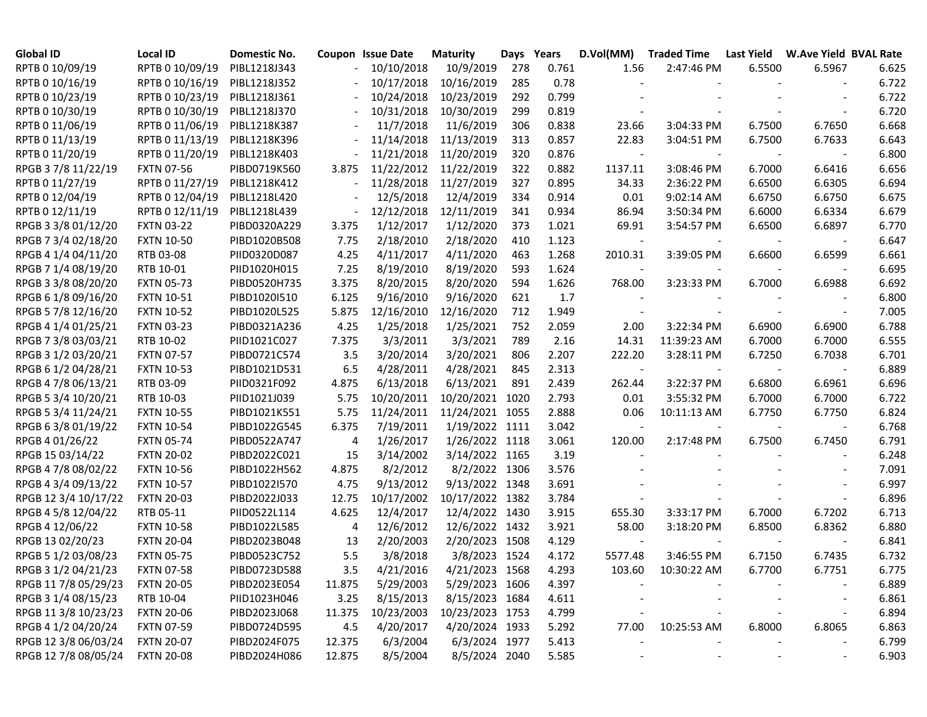| <b>Global ID</b>     | Local ID          | Domestic No. |                          | Coupon Issue Date | <b>Maturity</b> |     | Days Years | D.Vol(MM)                | <b>Traded Time</b> | <b>Last Yield</b> | <b>W.Ave Yield BVAL Rate</b> |       |
|----------------------|-------------------|--------------|--------------------------|-------------------|-----------------|-----|------------|--------------------------|--------------------|-------------------|------------------------------|-------|
| RPTB 0 10/09/19      | RPTB 0 10/09/19   | PIBL1218J343 | $\overline{\phantom{a}}$ | 10/10/2018        | 10/9/2019       | 278 | 0.761      | 1.56                     | 2:47:46 PM         | 6.5500            | 6.5967                       | 6.625 |
| RPTB 0 10/16/19      | RPTB 0 10/16/19   | PIBL1218J352 |                          | 10/17/2018        | 10/16/2019      | 285 | 0.78       |                          |                    |                   |                              | 6.722 |
| RPTB 0 10/23/19      | RPTB 0 10/23/19   | PIBL1218J361 |                          | 10/24/2018        | 10/23/2019      | 292 | 0.799      |                          |                    |                   |                              | 6.722 |
| RPTB 0 10/30/19      | RPTB 0 10/30/19   | PIBL1218J370 |                          | 10/31/2018        | 10/30/2019      | 299 | 0.819      |                          |                    |                   |                              | 6.720 |
| RPTB 0 11/06/19      | RPTB 0 11/06/19   | PIBL1218K387 |                          | 11/7/2018         | 11/6/2019       | 306 | 0.838      | 23.66                    | 3:04:33 PM         | 6.7500            | 6.7650                       | 6.668 |
| RPTB 0 11/13/19      | RPTB 0 11/13/19   | PIBL1218K396 |                          | 11/14/2018        | 11/13/2019      | 313 | 0.857      | 22.83                    | 3:04:51 PM         | 6.7500            | 6.7633                       | 6.643 |
| RPTB 0 11/20/19      | RPTB 0 11/20/19   | PIBL1218K403 |                          | 11/21/2018        | 11/20/2019      | 320 | 0.876      | $\overline{\phantom{a}}$ |                    |                   |                              | 6.800 |
| RPGB 3 7/8 11/22/19  | <b>FXTN 07-56</b> | PIBD0719K560 | 3.875                    | 11/22/2012        | 11/22/2019      | 322 | 0.882      | 1137.11                  | 3:08:46 PM         | 6.7000            | 6.6416                       | 6.656 |
| RPTB 0 11/27/19      | RPTB 0 11/27/19   | PIBL1218K412 |                          | 11/28/2018        | 11/27/2019      | 327 | 0.895      | 34.33                    | 2:36:22 PM         | 6.6500            | 6.6305                       | 6.694 |
| RPTB 0 12/04/19      | RPTB 0 12/04/19   | PIBL1218L420 |                          | 12/5/2018         | 12/4/2019       | 334 | 0.914      | 0.01                     | 9:02:14 AM         | 6.6750            | 6.6750                       | 6.675 |
| RPTB 0 12/11/19      | RPTB 0 12/11/19   | PIBL1218L439 |                          | 12/12/2018        | 12/11/2019      | 341 | 0.934      | 86.94                    | 3:50:34 PM         | 6.6000            | 6.6334                       | 6.679 |
| RPGB 3 3/8 01/12/20  | <b>FXTN 03-22</b> | PIBD0320A229 | 3.375                    | 1/12/2017         | 1/12/2020       | 373 | 1.021      | 69.91                    | 3:54:57 PM         | 6.6500            | 6.6897                       | 6.770 |
| RPGB 7 3/4 02/18/20  | <b>FXTN 10-50</b> | PIBD1020B508 | 7.75                     | 2/18/2010         | 2/18/2020       | 410 | 1.123      |                          |                    |                   |                              | 6.647 |
| RPGB 4 1/4 04/11/20  | RTB 03-08         | PIID0320D087 | 4.25                     | 4/11/2017         | 4/11/2020       | 463 | 1.268      | 2010.31                  | 3:39:05 PM         | 6.6600            | 6.6599                       | 6.661 |
| RPGB 7 1/4 08/19/20  | RTB 10-01         | PIID1020H015 | 7.25                     | 8/19/2010         | 8/19/2020       | 593 | 1.624      | $\overline{\phantom{a}}$ |                    |                   |                              | 6.695 |
| RPGB 3 3/8 08/20/20  | <b>FXTN 05-73</b> | PIBD0520H735 | 3.375                    | 8/20/2015         | 8/20/2020       | 594 | 1.626      | 768.00                   | 3:23:33 PM         | 6.7000            | 6.6988                       | 6.692 |
| RPGB 6 1/8 09/16/20  | <b>FXTN 10-51</b> | PIBD1020I510 | 6.125                    | 9/16/2010         | 9/16/2020       | 621 | 1.7        |                          |                    |                   |                              | 6.800 |
| RPGB 5 7/8 12/16/20  | <b>FXTN 10-52</b> | PIBD1020L525 | 5.875                    | 12/16/2010        | 12/16/2020      | 712 | 1.949      |                          |                    |                   |                              | 7.005 |
| RPGB 4 1/4 01/25/21  | <b>FXTN 03-23</b> | PIBD0321A236 | 4.25                     | 1/25/2018         | 1/25/2021       | 752 | 2.059      | 2.00                     | 3:22:34 PM         | 6.6900            | 6.6900                       | 6.788 |
| RPGB 7 3/8 03/03/21  | RTB 10-02         | PIID1021C027 | 7.375                    | 3/3/2011          | 3/3/2021        | 789 | 2.16       | 14.31                    | 11:39:23 AM        | 6.7000            | 6.7000                       | 6.555 |
| RPGB 3 1/2 03/20/21  | <b>FXTN 07-57</b> | PIBD0721C574 | 3.5                      | 3/20/2014         | 3/20/2021       | 806 | 2.207      | 222.20                   | 3:28:11 PM         | 6.7250            | 6.7038                       | 6.701 |
| RPGB 6 1/2 04/28/21  | <b>FXTN 10-53</b> | PIBD1021D531 | 6.5                      | 4/28/2011         | 4/28/2021       | 845 | 2.313      | $\blacksquare$           |                    |                   |                              | 6.889 |
| RPGB 4 7/8 06/13/21  | RTB 03-09         | PIID0321F092 | 4.875                    | 6/13/2018         | 6/13/2021       | 891 | 2.439      | 262.44                   | 3:22:37 PM         | 6.6800            | 6.6961                       | 6.696 |
| RPGB 5 3/4 10/20/21  | RTB 10-03         | PIID1021J039 | 5.75                     | 10/20/2011        | 10/20/2021 1020 |     | 2.793      | 0.01                     | 3:55:32 PM         | 6.7000            | 6.7000                       | 6.722 |
| RPGB 5 3/4 11/24/21  | <b>FXTN 10-55</b> | PIBD1021K551 | 5.75                     | 11/24/2011        | 11/24/2021 1055 |     | 2.888      | 0.06                     | 10:11:13 AM        | 6.7750            | 6.7750                       | 6.824 |
| RPGB 63/8 01/19/22   | <b>FXTN 10-54</b> | PIBD1022G545 | 6.375                    | 7/19/2011         | 1/19/2022 1111  |     | 3.042      |                          |                    |                   |                              | 6.768 |
| RPGB 4 01/26/22      | <b>FXTN 05-74</b> | PIBD0522A747 | 4                        | 1/26/2017         | 1/26/2022 1118  |     | 3.061      | 120.00                   | 2:17:48 PM         | 6.7500            | 6.7450                       | 6.791 |
| RPGB 15 03/14/22     | <b>FXTN 20-02</b> | PIBD2022C021 | 15                       | 3/14/2002         | 3/14/2022 1165  |     | 3.19       |                          |                    |                   |                              | 6.248 |
| RPGB 4 7/8 08/02/22  | <b>FXTN 10-56</b> | PIBD1022H562 | 4.875                    | 8/2/2012          | 8/2/2022 1306   |     | 3.576      |                          |                    |                   |                              | 7.091 |
| RPGB 4 3/4 09/13/22  | <b>FXTN 10-57</b> | PIBD1022I570 | 4.75                     | 9/13/2012         | 9/13/2022 1348  |     | 3.691      |                          |                    |                   |                              | 6.997 |
| RPGB 12 3/4 10/17/22 | <b>FXTN 20-03</b> | PIBD2022J033 | 12.75                    | 10/17/2002        | 10/17/2022 1382 |     | 3.784      |                          |                    |                   |                              | 6.896 |
| RPGB 4 5/8 12/04/22  | RTB 05-11         | PIID0522L114 | 4.625                    | 12/4/2017         | 12/4/2022 1430  |     | 3.915      | 655.30                   | 3:33:17 PM         | 6.7000            | 6.7202                       | 6.713 |
| RPGB 4 12/06/22      | <b>FXTN 10-58</b> | PIBD1022L585 | 4                        | 12/6/2012         | 12/6/2022 1432  |     | 3.921      | 58.00                    | 3:18:20 PM         | 6.8500            | 6.8362                       | 6.880 |
| RPGB 13 02/20/23     | <b>FXTN 20-04</b> | PIBD2023B048 | 13                       | 2/20/2003         | 2/20/2023 1508  |     | 4.129      | $\overline{\phantom{a}}$ |                    |                   |                              | 6.841 |
| RPGB 5 1/2 03/08/23  | <b>FXTN 05-75</b> | PIBD0523C752 | 5.5                      | 3/8/2018          | 3/8/2023 1524   |     | 4.172      | 5577.48                  | 3:46:55 PM         | 6.7150            | 6.7435                       | 6.732 |
| RPGB 3 1/2 04/21/23  | <b>FXTN 07-58</b> | PIBD0723D588 | $3.5\,$                  | 4/21/2016         | 4/21/2023 1568  |     | 4.293      | 103.60                   | 10:30:22 AM        | 6.7700            | 6.7751                       | 6.775 |
| RPGB 11 7/8 05/29/23 | <b>FXTN 20-05</b> | PIBD2023E054 | 11.875                   | 5/29/2003         | 5/29/2023 1606  |     | 4.397      |                          |                    |                   |                              | 6.889 |
| RPGB 3 1/4 08/15/23  | RTB 10-04         | PIID1023H046 | 3.25                     | 8/15/2013         | 8/15/2023 1684  |     | 4.611      |                          |                    |                   |                              | 6.861 |
| RPGB 11 3/8 10/23/23 | <b>FXTN 20-06</b> | PIBD2023J068 | 11.375                   | 10/23/2003        | 10/23/2023 1753 |     | 4.799      |                          |                    |                   |                              | 6.894 |
| RPGB 4 1/2 04/20/24  | <b>FXTN 07-59</b> | PIBD0724D595 | 4.5                      | 4/20/2017         | 4/20/2024 1933  |     | 5.292      | 77.00                    | 10:25:53 AM        | 6.8000            | 6.8065                       | 6.863 |
| RPGB 12 3/8 06/03/24 | <b>FXTN 20-07</b> | PIBD2024F075 | 12.375                   | 6/3/2004          | 6/3/2024 1977   |     | 5.413      |                          |                    |                   |                              | 6.799 |
| RPGB 12 7/8 08/05/24 | <b>FXTN 20-08</b> | PIBD2024H086 | 12.875                   | 8/5/2004          | 8/5/2024 2040   |     | 5.585      |                          |                    |                   |                              | 6.903 |